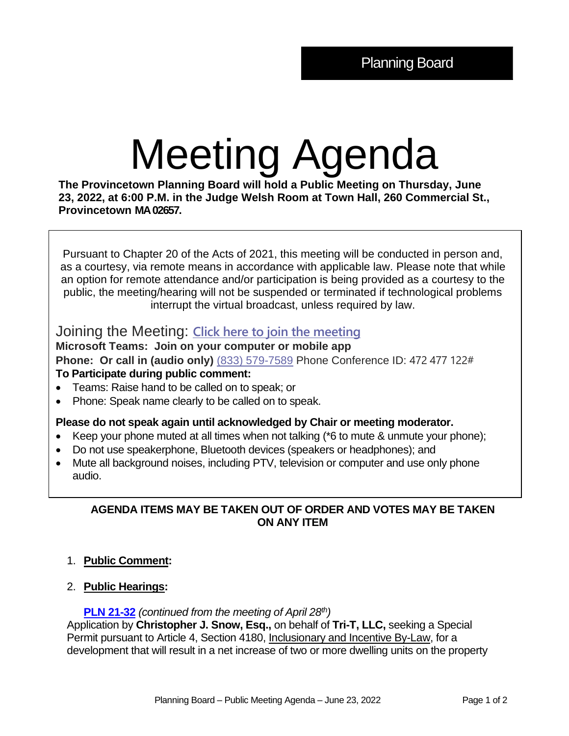# Meeting Agenda

**The Provincetown Planning Board will hold a Public Meeting on Thursday, June 23, 2022, at 6:00 P.M. in the Judge Welsh Room at Town Hall, 260 Commercial St., Provincetown MA 02657.**

Pursuant to Chapter 20 of the Acts of 2021, this meeting will be conducted in person and, as a courtesy, via remote means in accordance with applicable law. Please note that while an option for remote attendance and/or participation is being provided as a courtesy to the public, the meeting/hearing will not be suspended or terminated if technological problems interrupt the virtual broadcast, unless required by law.

# Joining the Meeting: **[Click here to join the meeting](https://teams.microsoft.com/l/meetup-join/19%3ameeting_YTg1Y2QxNDItZTZmMC00ZmJmLWFlZWMtMDAwMWI0MDJlNWU4%40thread.v2/0?context=%7b%22Tid%22%3a%2230f187df-7305-4983-9525-e34ebdedad6e%22%2c%22Oid%22%3a%2218feaed6-ea58-4a79-8ca2-7e17827e6671%22%7d)**

**Microsoft Teams: Join on your computer or mobile app Phone: Or call in (audio only)** (833) 579-7589 Phone Conference ID: 472 477 122# **To Participate during public comment:** 

- Teams: Raise hand to be called on to speak; or
- Phone: Speak name clearly to be called on to speak.

#### **Please do not speak again until acknowledged by Chair or meeting moderator.**

- Keep your phone muted at all times when not talking (\*6 to mute & unmute your phone);
- Do not use speakerphone, Bluetooth devices (speakers or headphones); and
- Mute all background noises, including PTV, television or computer and use only phone audio.

# **AGENDA ITEMS MAY BE TAKEN OUT OF ORDER AND VOTES MAY BE TAKEN ON ANY ITEM**

# 1. **Public Comment:**

# 2. **Public Hearings:**

#### **[PLN 21-32](https://provincetownma.viewpointcloud.com/records/41010)** *(continued from the meeting of April 28th)*

Application by **Christopher J. Snow, Esq.,** on behalf of **Tri-T, LLC,** seeking a Special Permit pursuant to Article 4, Section 4180, Inclusionary and Incentive By-Law, for a development that will result in a net increase of two or more dwelling units on the property